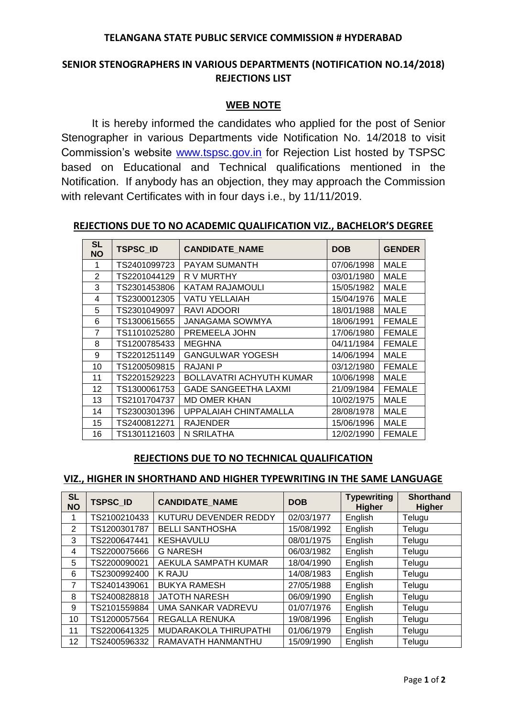### **TELANGANA STATE PUBLIC SERVICE COMMISSION # HYDERABAD**

# **SENIOR STENOGRAPHERS IN VARIOUS DEPARTMENTS (NOTIFICATION NO.14/2018) REJECTIONS LIST**

# **WEB NOTE**

It is hereby informed the candidates who applied for the post of Senior Stenographer in various Departments vide Notification No. 14/2018 to visit Commission's website [www.tspsc.gov.in](http://www.tspsc.gov.in/) for Rejection List hosted by TSPSC based on Educational and Technical qualifications mentioned in the Notification. If anybody has an objection, they may approach the Commission with relevant Certificates with in four days i.e., by 11/11/2019.

#### **REJECTIONS DUE TO NO ACADEMIC QUALIFICATION VIZ., BACHELOR'S DEGREE**

| <b>SL</b><br><b>NO</b> | <b>TSPSC ID</b> | <b>CANDIDATE NAME</b>           | <b>DOB</b> | <b>GENDER</b> |
|------------------------|-----------------|---------------------------------|------------|---------------|
| 1                      | TS2401099723    | <b>PAYAM SUMANTH</b>            | 07/06/1998 | <b>MALE</b>   |
| 2                      | TS2201044129    | R V MURTHY                      | 03/01/1980 | <b>MALE</b>   |
| 3                      | TS2301453806    | KATAM RAJAMOULI                 | 15/05/1982 | <b>MALE</b>   |
| 4                      | TS2300012305    | <b>VATU YELLAIAH</b>            | 15/04/1976 | <b>MALE</b>   |
| 5                      | TS2301049097    | RAVI ADOORI                     | 18/01/1988 | <b>MALE</b>   |
| 6                      | TS1300615655    | JANAGAMA SOWMYA                 | 18/06/1991 | <b>FEMALE</b> |
| 7                      | TS1101025280    | PREMEELA JOHN                   | 17/06/1980 | <b>FEMALE</b> |
| 8                      | TS1200785433    | <b>MEGHNA</b>                   | 04/11/1984 | <b>FEMALE</b> |
| 9                      | TS2201251149    | <b>GANGULWAR YOGESH</b>         | 14/06/1994 | <b>MALE</b>   |
| 10                     | TS1200509815    | <b>RAJANI P</b>                 | 03/12/1980 | <b>FEMALE</b> |
| 11                     | TS2201529223    | <b>BOLLAVATRI ACHYUTH KUMAR</b> | 10/06/1998 | <b>MALE</b>   |
| 12                     | TS1300061753    | <b>GADE SANGEETHA LAXMI</b>     | 21/09/1984 | <b>FEMALE</b> |
| 13                     | TS2101704737    | <b>MD OMER KHAN</b>             | 10/02/1975 | <b>MALE</b>   |
| 14                     | TS2300301396    | UPPALAIAH CHINTAMALLA           | 28/08/1978 | MALE          |
| 15                     | TS2400812271    | <b>RAJENDER</b>                 | 15/06/1996 | <b>MALE</b>   |
| 16                     | TS1301121603    | N SRILATHA                      | 12/02/1990 | <b>FEMALE</b> |

## **REJECTIONS DUE TO NO TECHNICAL QUALIFICATION**

#### **VIZ., HIGHER IN SHORTHAND AND HIGHER TYPEWRITING IN THE SAME LANGUAGE**

| <b>SL</b><br><b>NO</b> | <b>TSPSC ID</b> | <b>CANDIDATE NAME</b>  | <b>DOB</b> | <b>Typewriting</b><br><b>Higher</b> | <b>Shorthand</b><br><b>Higher</b> |
|------------------------|-----------------|------------------------|------------|-------------------------------------|-----------------------------------|
|                        | TS2100210433    | KUTURU DEVENDER REDDY  | 02/03/1977 | English                             | Telugu                            |
| 2                      | TS1200301787    | <b>BELLI SANTHOSHA</b> | 15/08/1992 | English                             | Telugu                            |
| 3                      | TS2200647441    | <b>KESHAVULU</b>       | 08/01/1975 | English                             | Telugu                            |
| 4                      | TS2200075666    | <b>G NARESH</b>        | 06/03/1982 | English                             | Telugu                            |
| 5                      | TS2200090021    | AEKULA SAMPATH KUMAR   | 18/04/1990 | English                             | Telugu                            |
| 6                      | TS2300992400    | K RAJU                 | 14/08/1983 | English                             | Telugu                            |
| 7                      | TS2401439061    | <b>BUKYA RAMESH</b>    | 27/05/1988 | English                             | Telugu                            |
| 8                      | TS2400828818    | <b>JATOTH NARESH</b>   | 06/09/1990 | English                             | Telugu                            |
| 9                      | TS2101559884    | UMA SANKAR VADREVU     | 01/07/1976 | English                             | Telugu                            |
| 10                     | TS1200057564    | REGALLA RENUKA         | 19/08/1996 | English                             | Telugu                            |
| 11                     | TS2200641325    | MUDARAKOLA THIRUPATHI  | 01/06/1979 | English                             | Telugu                            |
| 12                     | TS2400596332    | RAMAVATH HANMANTHU     | 15/09/1990 | English                             | Telugu                            |